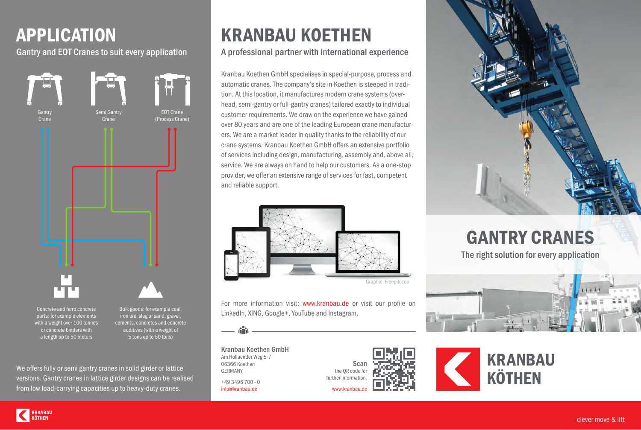# APPLICATION

Gantry and EOT Cranes to suit every application



parts: for example elements with a weight over 100 tonnes or concrete binders with a length up to 50 meters

Bulk goods: for example coal, iron ore, slag or sand, gravel, cements, concretes and concrete additives (with a weight of 5 tons up to 50 tons)

We offers fully or semi gantry cranes in solid girder or lattice versions. Gantry cranes in lattice girder designs can be realised from low load-carrying capacities up to heavy-duty cranes.

### KRANBAU KOETHEN

A professional partner with international experience

Kranbau Koethen GmbH specialises in special-purpose, process and automatic cranes. The company's site in Koethen is steeped in tradition. At this location, it manufactures modern crane systems (overhead, semi-gantry or full-gantry cranes) tailored exactly to individual customer requirements. We draw on the experience we have gained over 80 years and are one of the leading European crane manufacturers. We are a market leader in quality thanks to the reliability of our crane systems. Kranbau Koethen GmbH offers an extensive portfolio of services including design, manufacturing, assembly and, above all, service. We are always on hand to help our customers. As a one-stop provider, we offer an extensive range of services for fast, competent and reliable support.



Graphic: Freepik.com

For more information visit: www.kranbau.de or visit our profile on LinkedIn, XING, Google+, YouTube and Instagram.

Kranbau Koethen GmbH Am Hollaender Weg 5-7 06366 Koethen

 $+493496700 - 0$ info@kranbau.de

GERMANY

Scan the QR code for further information. www.kranhau.de